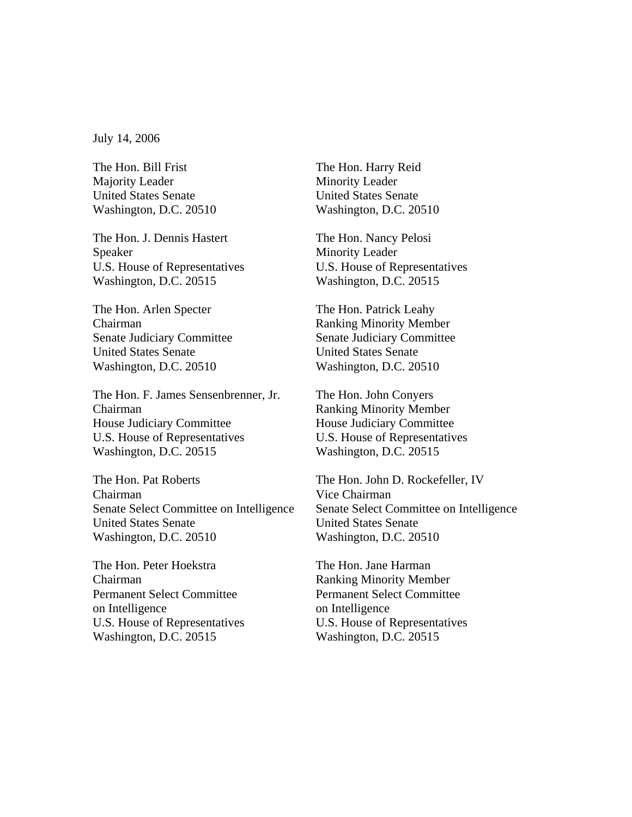July 14, 2006

The Hon. Bill Frist The Hon. Harry Reid Majority Leader Minority Leader United States Senate United States Senate

The Hon. J. Dennis Hastert The Hon. Nancy Pelosi Speaker Minority Leader Washington, D.C. 20515 Washington, D.C. 20515

The Hon. Arlen Specter The Hon. Patrick Leahy Chairman Ranking Minority Member Senate Judiciary Committee Senate Judiciary Committee United States Senate United States Senate Washington, D.C. 20510 Washington, D.C. 20510

The Hon. F. James Sensenbrenner, Jr. The Hon. John Conyers Chairman Ranking Minority Member House Judiciary Committee House Judiciary Committee U.S. House of Representatives U.S. House of Representatives Washington, D.C. 20515 Washington, D.C. 20515

The Hon. Pat Roberts The Hon. John D. Rockefeller, IV Chairman Vice Chairman Senate Select Committee on Intelligence Senate Select Committee on Intelligence United States Senate United States Senate Washington, D.C. 20510 Washington, D.C. 20510

The Hon. Peter Hoekstra The Hon. Jane Harman Chairman Ranking Minority Member Permanent Select Committee Permanent Select Committee on Intelligence on Intelligence Washington, D.C. 20515 Washington, D.C. 20515

Washington, D.C. 20510 Washington, D.C. 20510

U.S. House of Representatives U.S. House of Representatives

U.S. House of Representatives U.S. House of Representatives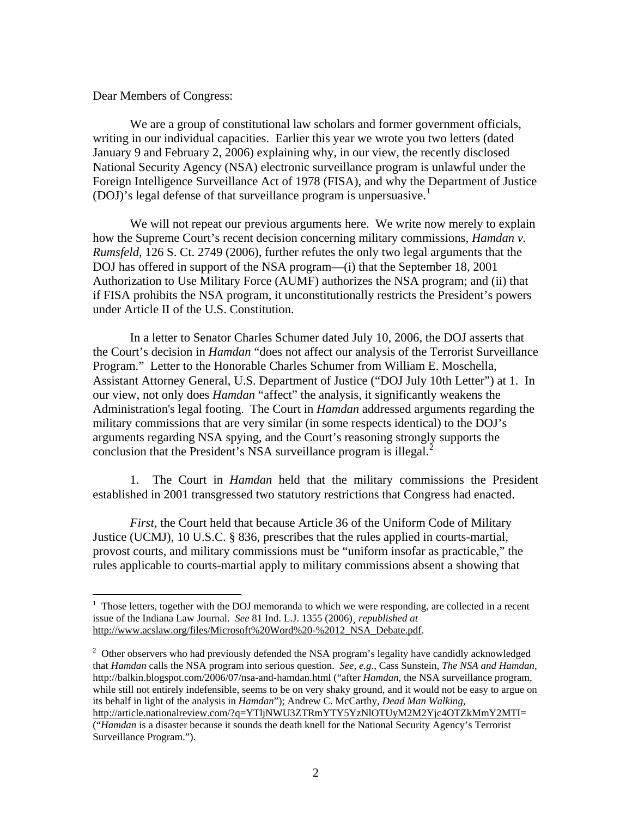Dear Members of Congress:

 $\overline{a}$ 

We are a group of constitutional law scholars and former government officials, writing in our individual capacities. Earlier this year we wrote you two letters (dated January 9 and February 2, 2006) explaining why, in our view, the recently disclosed National Security Agency (NSA) electronic surveillance program is unlawful under the Foreign Intelligence Surveillance Act of 1978 (FISA), and why the Department of Justice  $(DOJ)$ 's legal defense of that surveillance program is unpersuasive.<sup>[1](#page-1-0)</sup>

We will not repeat our previous arguments here. We write now merely to explain how the Supreme Court's recent decision concerning military commissions, *Hamdan v. Rumsfeld*, 126 S. Ct. 2749 (2006), further refutes the only two legal arguments that the DOJ has offered in support of the NSA program—(i) that the September 18, 2001 Authorization to Use Military Force (AUMF) authorizes the NSA program; and (ii) that if FISA prohibits the NSA program, it unconstitutionally restricts the President's powers under Article II of the U.S. Constitution.

In a letter to Senator Charles Schumer dated July 10, 2006, the DOJ asserts that the Court's decision in *Hamdan* "does not affect our analysis of the Terrorist Surveillance Program." Letter to the Honorable Charles Schumer from William E. Moschella, Assistant Attorney General, U.S. Department of Justice ("DOJ July 10th Letter") at 1. In our view, not only does *Hamdan* "affect" the analysis, it significantly weakens the Administration's legal footing. The Court in *Hamdan* addressed arguments regarding the military commissions that are very similar (in some respects identical) to the DOJ's arguments regarding NSA spying, and the Court's reasoning strongly supports the conclusion that the President's NSA surveillance program is illegal.<sup>[2](#page-1-1)</sup>

1. The Court in *Hamdan* held that the military commissions the President established in 2001 transgressed two statutory restrictions that Congress had enacted.

*First*, the Court held that because Article 36 of the Uniform Code of Military Justice (UCMJ), 10 U.S.C. § 836, prescribes that the rules applied in courts-martial, provost courts, and military commissions must be "uniform insofar as practicable," the rules applicable to courts-martial apply to military commissions absent a showing that

<span id="page-1-0"></span> $<sup>1</sup>$  Those letters, together with the DOJ memoranda to which we were responding, are collected in a recent</sup> issue of the Indiana Law Journal. *See* 81 Ind. L.J. 1355 (2006)¸ *republished at*  [http://www.acslaw.org/files/Microsoft%20Word%20-%2012\\_NSA\\_Debate.pdf](http://www.acslaw.org/files/Microsoft%20Word%20-%2012_NSA_Debate.pdf)*.* 

<span id="page-1-1"></span> $2$  Other observers who had previously defended the NSA program's legality have candidly acknowledged that *Hamdan* calls the NSA program into serious question. *See, e.g.*, Cass Sunstein, *The NSA and Hamdan*, http://balkin.blogspot.com/2006/07/nsa-and-hamdan.html ("after *Hamdan*, the NSA surveillance program, while still not entirely indefensible, seems to be on very shaky ground, and it would not be easy to argue on its behalf in light of the analysis in *Hamdan*"); Andrew C. McCarthy, *Dead Man Walking*, <http://article.nationalreview.com/?q=YTljNWU3ZTRmYTY5YzNlOTUyM2M2Yjc4OTZkMmY2MTI>=

<sup>(&</sup>quot;*Hamdan* is a disaster because it sounds the death knell for the National Security Agency's Terrorist Surveillance Program.").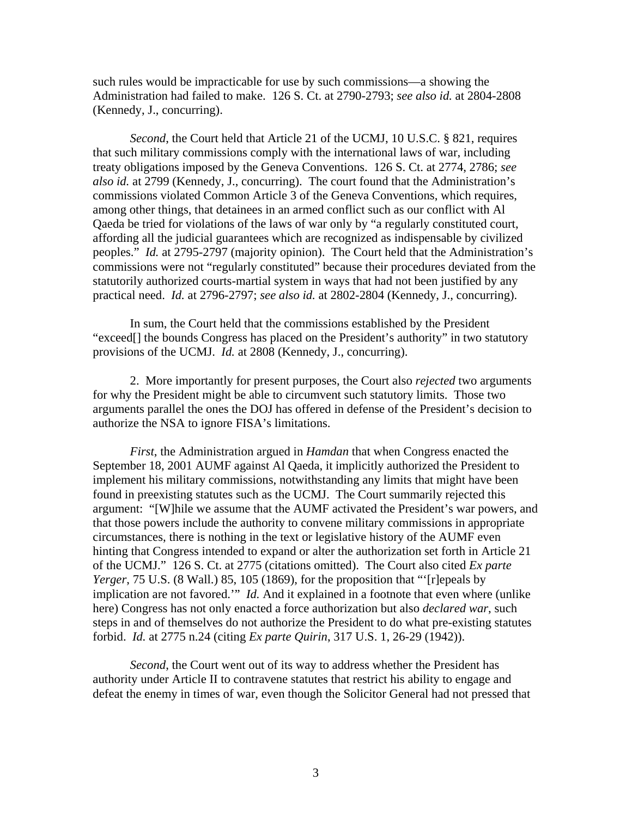such rules would be impracticable for use by such commissions—a showing the Administration had failed to make. 126 S. Ct. at 2790-2793; *see also id.* at 2804-2808 (Kennedy, J., concurring).

*Second*, the Court held that Article 21 of the UCMJ, 10 U.S.C. § 821, requires that such military commissions comply with the international laws of war, including treaty obligations imposed by the Geneva Conventions. 126 S. Ct. at 2774, 2786; *see also id.* at 2799 (Kennedy, J., concurring). The court found that the Administration's commissions violated Common Article 3 of the Geneva Conventions, which requires, among other things, that detainees in an armed conflict such as our conflict with Al Qaeda be tried for violations of the laws of war only by "a regularly constituted court, affording all the judicial guarantees which are recognized as indispensable by civilized peoples." *Id.* at 2795-2797 (majority opinion). The Court held that the Administration's commissions were not "regularly constituted" because their procedures deviated from the statutorily authorized courts-martial system in ways that had not been justified by any practical need. *Id.* at 2796-2797; *see also id.* at 2802-2804 (Kennedy, J., concurring).

In sum, the Court held that the commissions established by the President "exceed[] the bounds Congress has placed on the President's authority" in two statutory provisions of the UCMJ. *Id.* at 2808 (Kennedy, J., concurring).

2. More importantly for present purposes, the Court also *rejected* two arguments for why the President might be able to circumvent such statutory limits. Those two arguments parallel the ones the DOJ has offered in defense of the President's decision to authorize the NSA to ignore FISA's limitations.

*First*, the Administration argued in *Hamdan* that when Congress enacted the September 18, 2001 AUMF against Al Qaeda, it implicitly authorized the President to implement his military commissions, notwithstanding any limits that might have been found in preexisting statutes such as the UCMJ. The Court summarily rejected this argument: "[W]hile we assume that the AUMF activated the President's war powers, and that those powers include the authority to convene military commissions in appropriate circumstances, there is nothing in the text or legislative history of the AUMF even hinting that Congress intended to expand or alter the authorization set forth in Article 21 of the UCMJ." 126 S. Ct. at 2775 (citations omitted). The Court also cited *Ex parte Yerger*, 75 U.S. (8 Wall.) 85, 105 (1869), for the proposition that "'[r]epeals by implication are not favored.'" *Id.* And it explained in a footnote that even where (unlike here) Congress has not only enacted a force authorization but also *declared war*, such steps in and of themselves do not authorize the President to do what pre-existing statutes forbid. *Id.* at 2775 n.24 (citing *Ex parte Quirin*, 317 U.S. 1, 26-29 (1942)).

*Second*, the Court went out of its way to address whether the President has authority under Article II to contravene statutes that restrict his ability to engage and defeat the enemy in times of war, even though the Solicitor General had not pressed that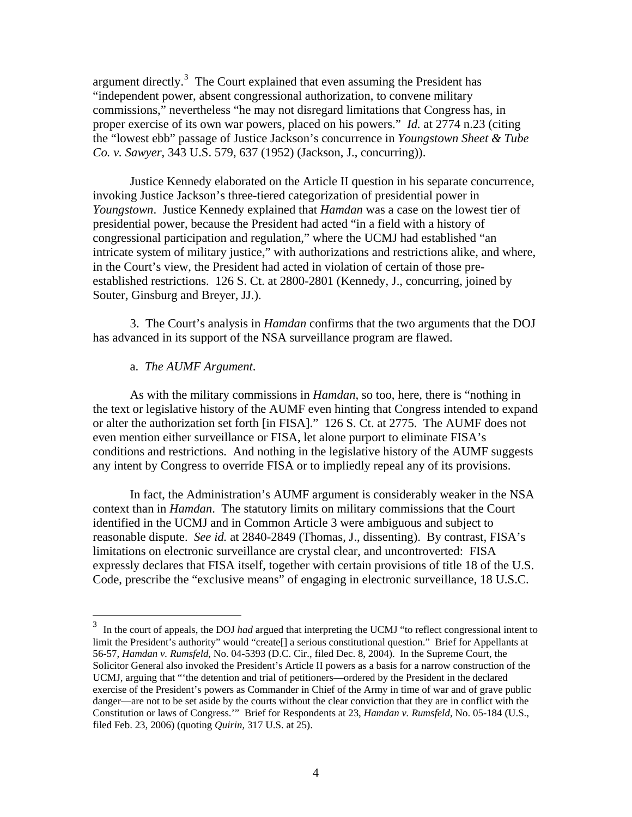argument directly. $3$  The Court explained that even assuming the President has "independent power, absent congressional authorization, to convene military commissions," nevertheless "he may not disregard limitations that Congress has, in proper exercise of its own war powers, placed on his powers." *Id.* at 2774 n.23 (citing the "lowest ebb" passage of Justice Jackson's concurrence in *Youngstown Sheet & Tube Co. v. Sawyer*, 343 U.S. 579, 637 (1952) (Jackson, J., concurring)).

 Justice Kennedy elaborated on the Article II question in his separate concurrence, invoking Justice Jackson's three-tiered categorization of presidential power in *Youngstown*. Justice Kennedy explained that *Hamdan* was a case on the lowest tier of presidential power, because the President had acted "in a field with a history of congressional participation and regulation," where the UCMJ had established "an intricate system of military justice," with authorizations and restrictions alike, and where, in the Court's view, the President had acted in violation of certain of those preestablished restrictions. 126 S. Ct. at 2800-2801 (Kennedy, J., concurring, joined by Souter, Ginsburg and Breyer, JJ.).

3. The Court's analysis in *Hamdan* confirms that the two arguments that the DOJ has advanced in its support of the NSA surveillance program are flawed.

## a. *The AUMF Argument*.

As with the military commissions in *Hamdan*, so too, here, there is "nothing in the text or legislative history of the AUMF even hinting that Congress intended to expand or alter the authorization set forth [in FISA]." 126 S. Ct. at 2775. The AUMF does not even mention either surveillance or FISA, let alone purport to eliminate FISA's conditions and restrictions. And nothing in the legislative history of the AUMF suggests any intent by Congress to override FISA or to impliedly repeal any of its provisions.

 In fact, the Administration's AUMF argument is considerably weaker in the NSA context than in *Hamdan*. The statutory limits on military commissions that the Court identified in the UCMJ and in Common Article 3 were ambiguous and subject to reasonable dispute. *See id.* at 2840-2849 (Thomas, J., dissenting). By contrast, FISA's limitations on electronic surveillance are crystal clear, and uncontroverted: FISA expressly declares that FISA itself, together with certain provisions of title 18 of the U.S. Code, prescribe the "exclusive means" of engaging in electronic surveillance, 18 U.S.C.

<span id="page-3-0"></span><sup>&</sup>lt;sup>3</sup> In the court of appeals, the DOJ *had* argued that interpreting the UCMJ "to reflect congressional intent to limit the President's authority" would "create[] a serious constitutional question." Brief for Appellants at 56-57, *Hamdan v. Rumsfeld*, No. 04-5393 (D.C. Cir., filed Dec. 8, 2004). In the Supreme Court, the Solicitor General also invoked the President's Article II powers as a basis for a narrow construction of the UCMJ, arguing that "'the detention and trial of petitioners—ordered by the President in the declared exercise of the President's powers as Commander in Chief of the Army in time of war and of grave public danger—are not to be set aside by the courts without the clear conviction that they are in conflict with the Constitution or laws of Congress.'" Brief for Respondents at 23, *Hamdan v. Rumsfeld*, No. 05-184 (U.S., filed Feb. 23, 2006) (quoting *Quirin*, 317 U.S. at 25).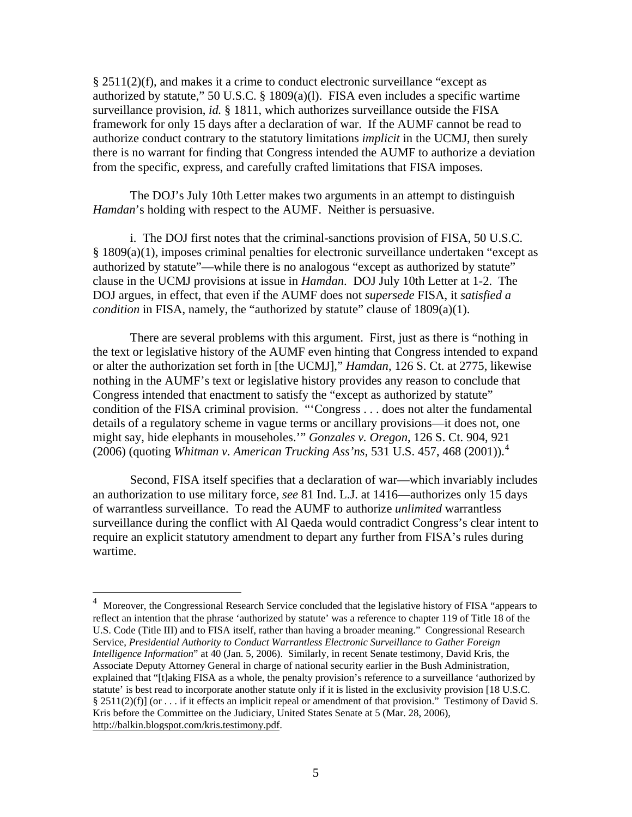$§$  2511(2)(f), and makes it a crime to conduct electronic surveillance "except as authorized by statute," 50 U.S.C. § 1809(a)(l). FISA even includes a specific wartime surveillance provision, *id.* § 1811, which authorizes surveillance outside the FISA framework for only 15 days after a declaration of war. If the AUMF cannot be read to authorize conduct contrary to the statutory limitations *implicit* in the UCMJ, then surely there is no warrant for finding that Congress intended the AUMF to authorize a deviation from the specific, express, and carefully crafted limitations that FISA imposes.

 The DOJ's July 10th Letter makes two arguments in an attempt to distinguish *Hamdan*'s holding with respect to the AUMF. Neither is persuasive.

 i. The DOJ first notes that the criminal-sanctions provision of FISA, 50 U.S.C. § 1809(a)(1), imposes criminal penalties for electronic surveillance undertaken "except as authorized by statute"—while there is no analogous "except as authorized by statute" clause in the UCMJ provisions at issue in *Hamdan*. DOJ July 10th Letter at 1-2. The DOJ argues, in effect, that even if the AUMF does not *supersede* FISA, it *satisfied a condition* in FISA, namely, the "authorized by statute" clause of 1809(a)(1).

 There are several problems with this argument. First, just as there is "nothing in the text or legislative history of the AUMF even hinting that Congress intended to expand or alter the authorization set forth in [the UCMJ]," *Hamdan*, 126 S. Ct. at 2775, likewise nothing in the AUMF's text or legislative history provides any reason to conclude that Congress intended that enactment to satisfy the "except as authorized by statute" condition of the FISA criminal provision. "'Congress . . . does not alter the fundamental details of a regulatory scheme in vague terms or ancillary provisions—it does not, one might say, hide elephants in mouseholes.'" *Gonzales v. Oregon*, 126 S. Ct. 904, 921 (2006) (quoting *Whitman v. American Trucking Ass'ns*, 531 U.S. 457, 468 (2001)).[4](#page-4-0)

 Second, FISA itself specifies that a declaration of war—which invariably includes an authorization to use military force, *see* 81 Ind. L.J. at 1416—authorizes only 15 days of warrantless surveillance. To read the AUMF to authorize *unlimited* warrantless surveillance during the conflict with Al Qaeda would contradict Congress's clear intent to require an explicit statutory amendment to depart any further from FISA's rules during wartime.

 $\overline{a}$ 

<span id="page-4-0"></span><sup>4</sup> Moreover, the Congressional Research Service concluded that the legislative history of FISA "appears to reflect an intention that the phrase 'authorized by statute' was a reference to chapter 119 of Title 18 of the U.S. Code (Title III) and to FISA itself, rather than having a broader meaning." Congressional Research Service, *Presidential Authority to Conduct Warrantless Electronic Surveillance to Gather Foreign Intelligence Information*" at 40 (Jan. 5, 2006). Similarly, in recent Senate testimony, David Kris, the Associate Deputy Attorney General in charge of national security earlier in the Bush Administration, explained that "[t]aking FISA as a whole, the penalty provision's reference to a surveillance 'authorized by statute' is best read to incorporate another statute only if it is listed in the exclusivity provision [18 U.S.C. § 2511(2)(f)] (or . . . if it effects an implicit repeal or amendment of that provision." Testimony of David S. Kris before the Committee on the Judiciary, United States Senate at 5 (Mar. 28, 2006), <http://balkin.blogspot.com/kris.testimony.pdf>.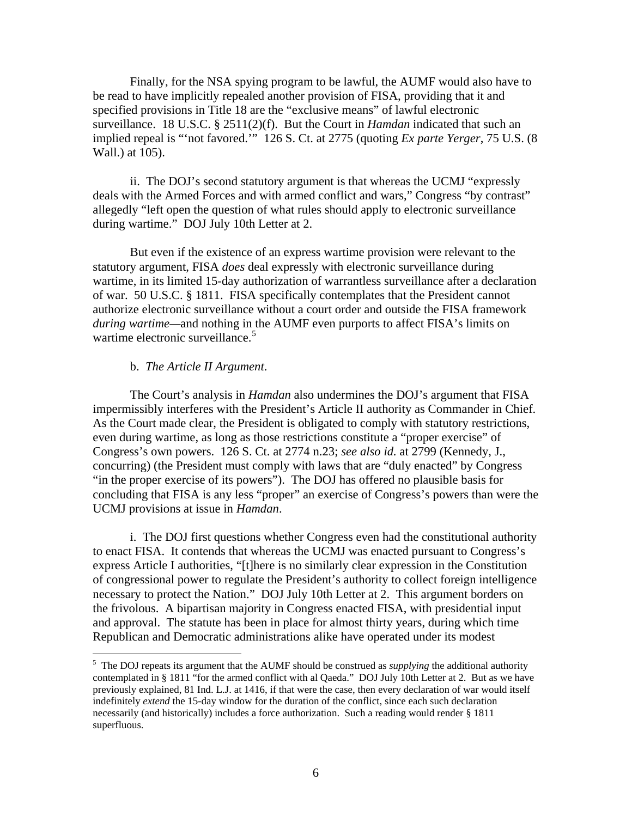Finally, for the NSA spying program to be lawful, the AUMF would also have to be read to have implicitly repealed another provision of FISA, providing that it and specified provisions in Title 18 are the "exclusive means" of lawful electronic surveillance. 18 U.S.C. § 2511(2)(f). But the Court in *Hamdan* indicated that such an implied repeal is "'not favored.'" 126 S. Ct. at 2775 (quoting *Ex parte Yerger*, 75 U.S. (8 Wall.) at 105).

 ii. The DOJ's second statutory argument is that whereas the UCMJ "expressly deals with the Armed Forces and with armed conflict and wars," Congress "by contrast" allegedly "left open the question of what rules should apply to electronic surveillance during wartime." DOJ July 10th Letter at 2.

But even if the existence of an express wartime provision were relevant to the statutory argument, FISA *does* deal expressly with electronic surveillance during wartime, in its limited 15-day authorization of warrantless surveillance after a declaration of war. 50 U.S.C. § 1811. FISA specifically contemplates that the President cannot authorize electronic surveillance without a court order and outside the FISA framework *during wartime—*and nothing in the AUMF even purports to affect FISA's limits on wartime electronic surveillance.<sup>[5](#page-5-0)</sup>

## b. *The Article II Argument*.

 $\overline{a}$ 

The Court's analysis in *Hamdan* also undermines the DOJ's argument that FISA impermissibly interferes with the President's Article II authority as Commander in Chief. As the Court made clear, the President is obligated to comply with statutory restrictions, even during wartime, as long as those restrictions constitute a "proper exercise" of Congress's own powers. 126 S. Ct. at 2774 n.23; *see also id.* at 2799 (Kennedy, J., concurring) (the President must comply with laws that are "duly enacted" by Congress "in the proper exercise of its powers"). The DOJ has offered no plausible basis for concluding that FISA is any less "proper" an exercise of Congress's powers than were the UCMJ provisions at issue in *Hamdan*.

i. The DOJ first questions whether Congress even had the constitutional authority to enact FISA. It contends that whereas the UCMJ was enacted pursuant to Congress's express Article I authorities, "[t]here is no similarly clear expression in the Constitution of congressional power to regulate the President's authority to collect foreign intelligence necessary to protect the Nation." DOJ July 10th Letter at 2. This argument borders on the frivolous. A bipartisan majority in Congress enacted FISA, with presidential input and approval. The statute has been in place for almost thirty years, during which time Republican and Democratic administrations alike have operated under its modest

<span id="page-5-0"></span><sup>&</sup>lt;sup>5</sup> The DOJ repeats its argument that the AUMF should be construed as *supplying* the additional authority contemplated in § 1811 "for the armed conflict with al Qaeda." DOJ July 10th Letter at 2. But as we have previously explained, 81 Ind. L.J. at 1416, if that were the case, then every declaration of war would itself indefinitely *extend* the 15-day window for the duration of the conflict, since each such declaration necessarily (and historically) includes a force authorization. Such a reading would render § 1811 superfluous.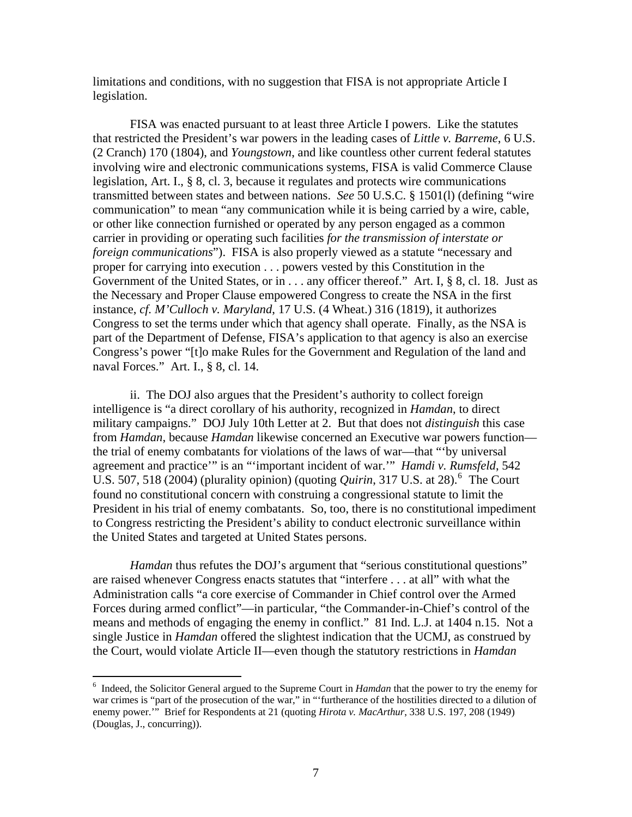limitations and conditions, with no suggestion that FISA is not appropriate Article I legislation.

FISA was enacted pursuant to at least three Article I powers. Like the statutes that restricted the President's war powers in the leading cases of *Little v. Barreme*, 6 U.S. (2 Cranch) 170 (1804), and *Youngstown*, and like countless other current federal statutes involving wire and electronic communications systems, FISA is valid Commerce Clause legislation, Art. I., § 8, cl. 3, because it regulates and protects wire communications transmitted between states and between nations. *See* 50 U.S.C. § 1501(l) (defining "wire communication" to mean "any communication while it is being carried by a wire, cable, or other like connection furnished or operated by any person engaged as a common carrier in providing or operating such facilities *for the transmission of interstate or foreign communications*"). FISA is also properly viewed as a statute "necessary and proper for carrying into execution . . . powers vested by this Constitution in the Government of the United States, or in . . . any officer thereof." Art. I, § 8, cl. 18. Just as the Necessary and Proper Clause empowered Congress to create the NSA in the first instance, *cf. M'Culloch v. Maryland*, 17 U.S. (4 Wheat.) 316 (1819), it authorizes Congress to set the terms under which that agency shall operate. Finally, as the NSA is part of the Department of Defense, FISA's application to that agency is also an exercise Congress's power "[t]o make Rules for the Government and Regulation of the land and naval Forces." Art. I., § 8, cl. 14.

ii. The DOJ also argues that the President's authority to collect foreign intelligence is "a direct corollary of his authority, recognized in *Hamdan*, to direct military campaigns." DOJ July 10th Letter at 2. But that does not *distinguish* this case from *Hamdan*, because *Hamdan* likewise concerned an Executive war powers function the trial of enemy combatants for violations of the laws of war—that "'by universal agreement and practice'" is an "'important incident of war.'" *Hamdi v. Rumsfeld*, 542 U.S. 507, 518 (2004) (plurality opinion) (quoting *Quirin*, 317 U.S. at 28).<sup>[6](#page-6-0)</sup> The Court found no constitutional concern with construing a congressional statute to limit the President in his trial of enemy combatants. So, too, there is no constitutional impediment to Congress restricting the President's ability to conduct electronic surveillance within the United States and targeted at United States persons.

*Hamdan* thus refutes the DOJ's argument that "serious constitutional questions" are raised whenever Congress enacts statutes that "interfere . . . at all" with what the Administration calls "a core exercise of Commander in Chief control over the Armed Forces during armed conflict"—in particular, "the Commander-in-Chief's control of the means and methods of engaging the enemy in conflict." 81 Ind. L.J. at 1404 n.15. Not a single Justice in *Hamdan* offered the slightest indication that the UCMJ, as construed by the Court, would violate Article II—even though the statutory restrictions in *Hamdan*

 $\overline{a}$ 

<span id="page-6-0"></span><sup>6</sup> Indeed, the Solicitor General argued to the Supreme Court in *Hamdan* that the power to try the enemy for war crimes is "part of the prosecution of the war," in "'furtherance of the hostilities directed to a dilution of enemy power.'" Brief for Respondents at 21 (quoting *Hirota v. MacArthur*, 338 U.S. 197, 208 (1949) (Douglas, J., concurring)).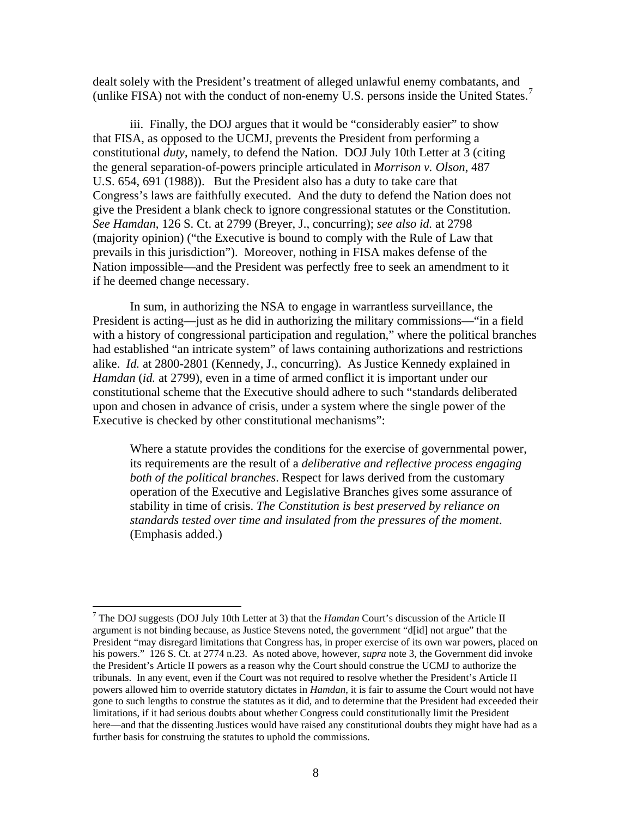dealt solely with the President's treatment of alleged unlawful enemy combatants, and (unlike FISA) not with the conduct of non-enemy U.S. persons inside the United States.<sup>[7](#page-7-0)</sup>

iii. Finally, the DOJ argues that it would be "considerably easier" to show that FISA, as opposed to the UCMJ, prevents the President from performing a constitutional *duty*, namely, to defend the Nation. DOJ July 10th Letter at 3 (citing the general separation-of-powers principle articulated in *Morrison v. Olson*, 487 U.S. 654, 691 (1988)). But the President also has a duty to take care that Congress's laws are faithfully executed. And the duty to defend the Nation does not give the President a blank check to ignore congressional statutes or the Constitution. *See Hamdan*, 126 S. Ct. at 2799 (Breyer, J., concurring); *see also id.* at 2798 (majority opinion) ("the Executive is bound to comply with the Rule of Law that prevails in this jurisdiction"). Moreover, nothing in FISA makes defense of the Nation impossible—and the President was perfectly free to seek an amendment to it if he deemed change necessary.

In sum, in authorizing the NSA to engage in warrantless surveillance, the President is acting—just as he did in authorizing the military commissions—"in a field with a history of congressional participation and regulation," where the political branches had established "an intricate system" of laws containing authorizations and restrictions alike. *Id.* at 2800-2801 (Kennedy, J., concurring). As Justice Kennedy explained in *Hamdan* (*id.* at 2799), even in a time of armed conflict it is important under our constitutional scheme that the Executive should adhere to such "standards deliberated upon and chosen in advance of crisis, under a system where the single power of the Executive is checked by other constitutional mechanisms":

Where a statute provides the conditions for the exercise of governmental power, its requirements are the result of a *deliberative and reflective process engaging both of the political branches*. Respect for laws derived from the customary operation of the Executive and Legislative Branches gives some assurance of stability in time of crisis. *The Constitution is best preserved by reliance on standards tested over time and insulated from the pressures of the moment*. (Emphasis added.)

 $\overline{a}$ 

<span id="page-7-0"></span><sup>7</sup> The DOJ suggests (DOJ July 10th Letter at 3) that the *Hamdan* Court's discussion of the Article II argument is not binding because, as Justice Stevens noted, the government "d[id] not argue" that the President "may disregard limitations that Congress has, in proper exercise of its own war powers, placed on his powers." 126 S. Ct. at 2774 n.23. As noted above, however, *supra* note 3, the Government did invoke the President's Article II powers as a reason why the Court should construe the UCMJ to authorize the tribunals. In any event, even if the Court was not required to resolve whether the President's Article II powers allowed him to override statutory dictates in *Hamdan*, it is fair to assume the Court would not have gone to such lengths to construe the statutes as it did, and to determine that the President had exceeded their limitations, if it had serious doubts about whether Congress could constitutionally limit the President here—and that the dissenting Justices would have raised any constitutional doubts they might have had as a further basis for construing the statutes to uphold the commissions.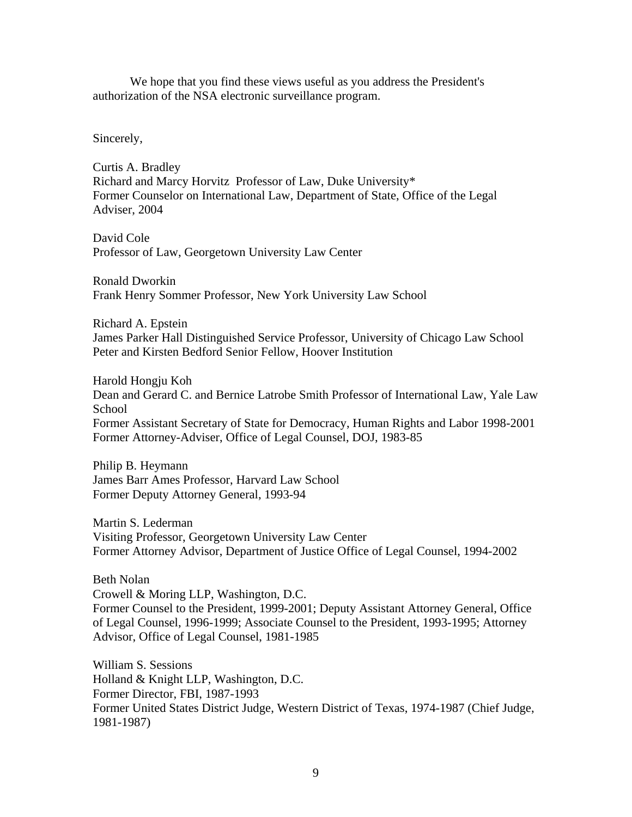We hope that you find these views useful as you address the President's authorization of the NSA electronic surveillance program.

Sincerely,

Curtis A. Bradley Richard and Marcy Horvitz Professor of Law, Duke University\* Former Counselor on International Law, Department of State, Office of the Legal Adviser, 2004

David Cole Professor of Law, Georgetown University Law Center

Ronald Dworkin Frank Henry Sommer Professor, New York University Law School

Richard A. Epstein James Parker Hall Distinguished Service Professor, University of Chicago Law School Peter and Kirsten Bedford Senior Fellow, Hoover Institution

Harold Hongju Koh Dean and Gerard C. and Bernice Latrobe Smith Professor of International Law, Yale Law **School** Former Assistant Secretary of State for Democracy, Human Rights and Labor 1998-2001 Former Attorney-Adviser, Office of Legal Counsel, DOJ, 1983-85

Philip B. Heymann James Barr Ames Professor, Harvard Law School Former Deputy Attorney General, 1993-94

Martin S. Lederman Visiting Professor, Georgetown University Law Center Former Attorney Advisor, Department of Justice Office of Legal Counsel, 1994-2002

Beth Nolan

Crowell & Moring LLP, Washington, D.C. Former Counsel to the President, 1999-2001; Deputy Assistant Attorney General, Office of Legal Counsel, 1996-1999; Associate Counsel to the President, 1993-1995; Attorney Advisor, Office of Legal Counsel, 1981-1985

William S. Sessions Holland & Knight LLP, Washington, D.C. Former Director, FBI, 1987-1993 Former United States District Judge, Western District of Texas, 1974-1987 (Chief Judge, 1981-1987)